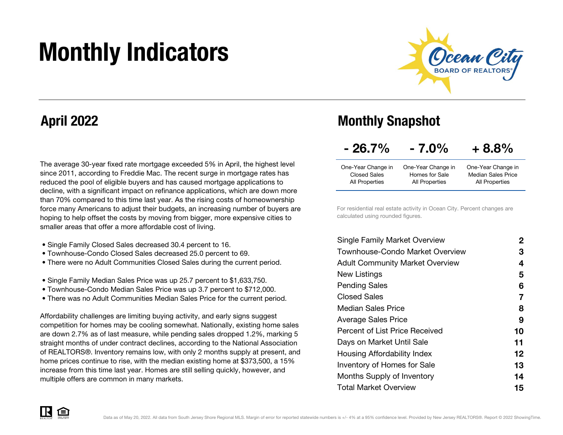# Monthly Indicators



### April 2022

The average 30-year fixed rate mortgage exceeded 5% in April, the highest level since 2011, according to Freddie Mac. The recent surge in mortgage rates has reduced the pool of eligible buyers and has caused mortgage applications to decline, with a significant impact on refinance applications, which are down more than 70% compared to this time last year. As the rising costs of homeownership force many Americans to adjust their budgets, an increasing number of buyers are hoping to help offset the costs by moving from bigger, more expensive cities to smaller areas that offer a more affordable cost of living.

- Single Family Closed Sales decreased 30.4 percent to 16.
- Townhouse-Condo Closed Sales decreased 25.0 percent to 69.
- There were no Adult Communities Closed Sales during the current period.
- Single Family Median Sales Price was up 25.7 percent to \$1,633,750.
- Townhouse-Condo Median Sales Price was up 3.7 percent to \$712,000.
- There was no Adult Communities Median Sales Price for the current period.

Affordability challenges are limiting buying activity, and early signs suggest competition for homes may be cooling somewhat. Nationally, existing home sales are down 2.7% as of last measure, while pending sales dropped 1.2%, marking 5 straight months of under contract declines, according to the National Association of REALTORS®. Inventory remains low, with only 2 months supply at present, and home prices continue to rise, with the median existing home at \$373,500, a 15% increase from this time last year. Homes are still selling quickly, however, and multiple offers are common in many markets.

### Monthly Snapshot

| $-26.7%$ | $-7.0\%$ | $+8.8%$ |
|----------|----------|---------|
|----------|----------|---------|

| One-Year Change in | One-Year Change in        |
|--------------------|---------------------------|
| Homes for Sale     | <b>Median Sales Price</b> |
| All Properties     | All Properties            |
|                    |                           |

For residential real estate activity in Ocean City. Percent changes are calculated using rounded figures.

| <b>Single Family Market Overview</b>   | 2  |
|----------------------------------------|----|
| Townhouse-Condo Market Overview        | З  |
| <b>Adult Community Market Overview</b> | 4  |
| New Listings                           | 5  |
| <b>Pending Sales</b>                   | 6  |
| Closed Sales                           | 7  |
| Median Sales Price                     | 8  |
| <b>Average Sales Price</b>             | 9  |
| Percent of List Price Received         | 10 |
| Days on Market Until Sale              | 11 |
| Housing Affordability Index            | 12 |
| <b>Inventory of Homes for Sale</b>     | 13 |
| Months Supply of Inventory             | 14 |
| <b>Total Market Overview</b>           | 15 |

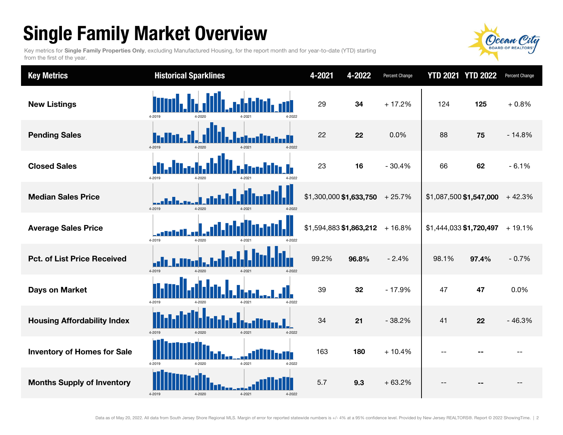## Single Family Market Overview

Key metrics for Single Family Properties Only, excluding Manufactured Housing, for the report month and for year-to-date (YTD) starting from the first of the year.



| <b>Key Metrics</b>                 | <b>Historical Sparklines</b>               | 4-2021                          | 4-2022 | Percent Change | <b>YTD 2021 YTD 2022</b> |                         | Percent Change |
|------------------------------------|--------------------------------------------|---------------------------------|--------|----------------|--------------------------|-------------------------|----------------|
| <b>New Listings</b>                | 4-2019<br>4-2022                           | 29                              | 34     | $+17.2%$       | 124                      | 125                     | $+0.8%$        |
| <b>Pending Sales</b>               | 4-2019<br>4-2022<br>4-2021<br>$4 - 2020$   | 22                              | 22     | 0.0%           | 88                       | 75                      | $-14.8%$       |
| <b>Closed Sales</b>                | 4-2019                                     | 23                              | 16     | $-30.4%$       | 66                       | 62                      | $-6.1%$        |
| <b>Median Sales Price</b>          | 4-2019<br>4-2020<br>4-2021<br>4-2022       | $$1,300,000 $1,633,750$ + 25.7% |        |                |                          | \$1,087,500 \$1,547,000 | $+42.3%$       |
| <b>Average Sales Price</b>         | 4-2019<br>4-2020                           | \$1,594,883 \$1,863,212         |        | $+16.8%$       |                          | \$1,444,033 \$1,720,497 | $+19.1%$       |
| <b>Pct. of List Price Received</b> | 4-2019<br>4-2020<br>$4 - 2021$<br>4-2022   | 99.2%                           | 96.8%  | $-2.4%$        | 98.1%                    | 97.4%                   | $-0.7%$        |
| <b>Days on Market</b>              | 4-2019<br>4-2021<br>4-2022                 | 39                              | 32     | $-17.9%$       | 47                       | 47                      | 0.0%           |
| <b>Housing Affordability Index</b> | 4-2019<br>$4 - 2020$<br>4-2021<br>4-2022   | 34                              | 21     | $-38.2%$       | 41                       | 22                      | $-46.3%$       |
| <b>Inventory of Homes for Sale</b> | TГ<br>4-2019<br>4-2021<br>4-2020<br>4-2022 | 163                             | 180    | $+10.4%$       |                          |                         |                |
| <b>Months Supply of Inventory</b>  | 4-2021<br>4-2019<br>4-2020<br>4-2022       | 5.7                             | 9.3    | $+63.2%$       |                          |                         |                |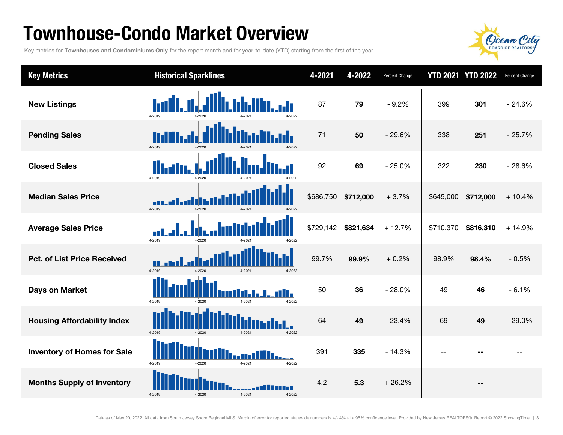### Townhouse-Condo Market Overview

Key metrics for Townhouses and Condominiums Only for the report month and for year-to-date (YTD) starting from the first of the year.



| <b>Key Metrics</b>                 | <b>Historical Sparklines</b>                               | 4-2021    | 4-2022    | <b>Percent Change</b> |           | <b>YTD 2021 YTD 2022</b> | Percent Change |
|------------------------------------|------------------------------------------------------------|-----------|-----------|-----------------------|-----------|--------------------------|----------------|
| <b>New Listings</b>                | 4-2019<br>4-2022                                           | 87        | 79        | $-9.2%$               | 399       | 301                      | $-24.6%$       |
| <b>Pending Sales</b>               | 4-2019<br>4-2020<br>4-2022                                 | 71        | 50        | $-29.6%$              | 338       | 251                      | $-25.7%$       |
| <b>Closed Sales</b>                | 4-2019<br>4-2020                                           | 92        | 69        | $-25.0%$              | 322       | 230                      | $-28.6%$       |
| <b>Median Sales Price</b>          | 4-2019<br>4-2020<br>4-2021<br>4-2022                       | \$686,750 | \$712,000 | $+3.7%$               | \$645,000 | \$712,000                | $+10.4%$       |
| <b>Average Sales Price</b>         | 4-2019<br>4-2020                                           | \$729,142 | \$821,634 | $+12.7%$              | \$710,370 | \$816,310                | $+14.9%$       |
| <b>Pct. of List Price Received</b> | 4-2019<br>$4 - 2020$<br>4-2021<br>4-2022                   | 99.7%     | 99.9%     | $+0.2%$               | 98.9%     | 98.4%                    | $-0.5%$        |
| <b>Days on Market</b>              | n i I<br>11. I<br>4-2019<br>4-2021<br>4-2022<br>$4 - 202f$ | 50        | 36        | $-28.0%$              | 49        | 46                       | $-6.1%$        |
| <b>Housing Affordability Index</b> | 4-2019<br>4-2022<br>4-2020<br>4-2021                       | 64        | 49        | $-23.4%$              | 69        | 49                       | $-29.0%$       |
| <b>Inventory of Homes for Sale</b> | HD.<br>4-2019<br>4-2020<br>4-2021<br>4-2022                | 391       | 335       | $-14.3%$              | $-$       |                          |                |
| <b>Months Supply of Inventory</b>  | 4-2019<br>4-2021<br>4-2020<br>4-2022                       | 4.2       | 5.3       | $+26.2%$              | --        |                          |                |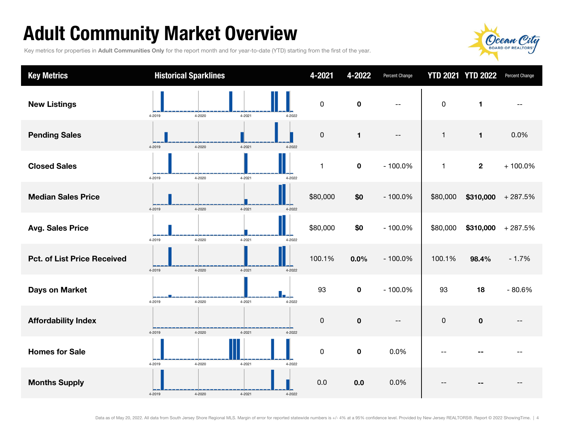## Adult Community Market Overview

Key metrics for properties in Adult Communities Only for the report month and for year-to-date (YTD) starting from the first of the year.



| <b>Key Metrics</b>                 |        | <b>Historical Sparklines</b> |            |        | 4-2021      | 4-2022       | Percent Change           |              | <b>YTD 2021 YTD 2022</b> | Percent Change |
|------------------------------------|--------|------------------------------|------------|--------|-------------|--------------|--------------------------|--------------|--------------------------|----------------|
| <b>New Listings</b>                | 4-2019 | 4-2020                       | 4-2021     | 4-2022 | $\pmb{0}$   | $\mathbf 0$  | $\overline{\phantom{a}}$ | $\pmb{0}$    | 1                        |                |
| <b>Pending Sales</b>               | 4-2019 | 4-2020                       | 4-2021     | 4-2022 | $\pmb{0}$   | $\mathbf{1}$ | $\overline{\phantom{a}}$ | 1            | $\mathbf{1}$             | 0.0%           |
| <b>Closed Sales</b>                | 4-2019 | 4-2020                       | 4-2021     | 4-2022 | 1           | $\pmb{0}$    | $-100.0%$                | $\mathbf{1}$ | $\mathbf{2}$             | $+100.0\%$     |
| <b>Median Sales Price</b>          | 4-2019 | 4-2020                       | 4-2021     | 4-2022 | \$80,000    | \$0          | $-100.0%$                | \$80,000     | \$310,000                | $+287.5%$      |
| <b>Avg. Sales Price</b>            | 4-2019 | 4-2020                       | 4-2021     | 4-2022 | \$80,000    | \$0          | $-100.0%$                | \$80,000     | \$310,000                | $+287.5%$      |
| <b>Pct. of List Price Received</b> | 4-2019 | 4-2020                       | 4-2021     | 4-2022 | 100.1%      | 0.0%         | $-100.0%$                | 100.1%       | 98.4%                    | $-1.7%$        |
| Days on Market                     | 4-2019 | 4-2020                       | 4-2021     | 4-2022 | 93          | $\mathbf 0$  | $-100.0%$                | 93           | 18                       | $-80.6%$       |
| <b>Affordability Index</b>         | 4-2019 | 4-2020                       | $4 - 2021$ | 4-2022 | 0           | $\pmb{0}$    | $\overline{\phantom{m}}$ | $\mathbf 0$  | $\mathbf 0$              |                |
| <b>Homes for Sale</b>              | 4-2019 | 4-2020                       | 4-2021     | 4-2022 | $\mathsf 0$ | $\pmb{0}$    | 0.0%                     |              |                          |                |
| <b>Months Supply</b>               | 4-2019 | 4-2020                       | 4-2021     | 4-2022 | 0.0         | 0.0          | 0.0%                     |              |                          |                |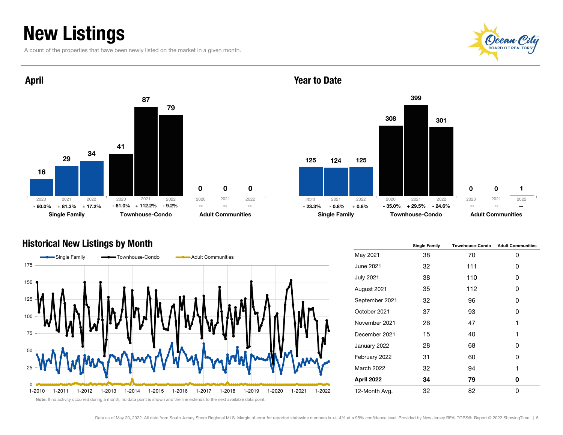### New Listings

A count of the properties that have been newly listed on the market in a given month.





#### Year to Date



#### Historical New Listings by Month



|                   | <b>Single Family</b> | <b>Townhouse-Condo</b> | <b>Adult Communities</b> |
|-------------------|----------------------|------------------------|--------------------------|
| May 2021          | 38                   | 70                     | 0                        |
| <b>June 2021</b>  | 32                   | 111                    | 0                        |
| <b>July 2021</b>  | 38                   | 110                    | 0                        |
| August 2021       | 35                   | 112                    | 0                        |
| September 2021    | 32                   | 96                     | 0                        |
| October 2021      | 37                   | 93                     | 0                        |
| November 2021     | 26                   | 47                     | 1                        |
| December 2021     | 15                   | 40                     | 1                        |
| January 2022      | 28                   | 68                     | ŋ                        |
| February 2022     | 31                   | 60                     | 0                        |
| <b>March 2022</b> | 32                   | 94                     | 1                        |
| April 2022        | 34                   | 79                     | 0                        |
| 12-Month Avg.     | 32                   | 82                     | 0                        |

Note: If no activity occurred during a month, no data point is shown and the line extends to the next available data point.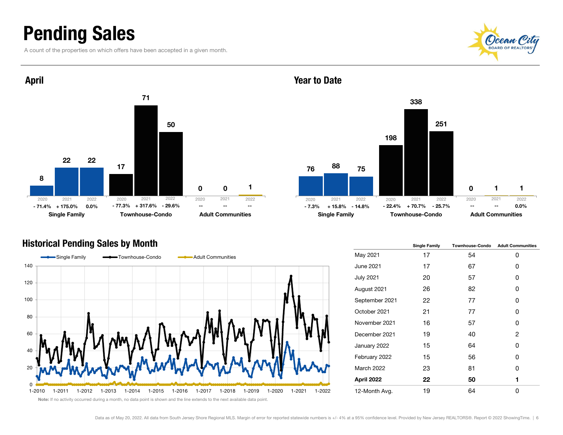### Pending Sales

A count of the properties on which offers have been accepted in a given month.





#### Historical Pending Sales by Month



#### 76198 $\Omega$ 88338 1752511Single Family **Townhouse-Condo** Adult Communities 2021 2022 2020 2021 2022 -- 25.3% + 15.8% - 14.8% - 22.4% + 70.7% - 25.7% -- - - - 0.0% 2020 2021 2022--

|                  | <b>Single Family</b> | <b>Townhouse-Condo</b> | <b>Adult Communities</b> |
|------------------|----------------------|------------------------|--------------------------|
| May 2021         | 17                   | 54                     | 0                        |
| June 2021        | 17                   | 67                     | 0                        |
| <b>July 2021</b> | 20                   | 57                     | 0                        |
| August 2021      | 26                   | 82                     | 0                        |
| September 2021   | 22                   | 77                     | 0                        |
| October 2021     | 21                   | 77                     | U                        |
| November 2021    | 16                   | 57                     | 0                        |
| December 2021    | 19                   | 40                     | 2                        |
| January 2022     | 15                   | 64                     | U                        |
| February 2022    | 15                   | 56                     | 0                        |
| March 2022       | 23                   | 81                     | U                        |
| April 2022       | 22                   | 50                     | 1                        |
| 12-Month Avg.    | 19                   | 64                     | 0                        |

#### Year to Date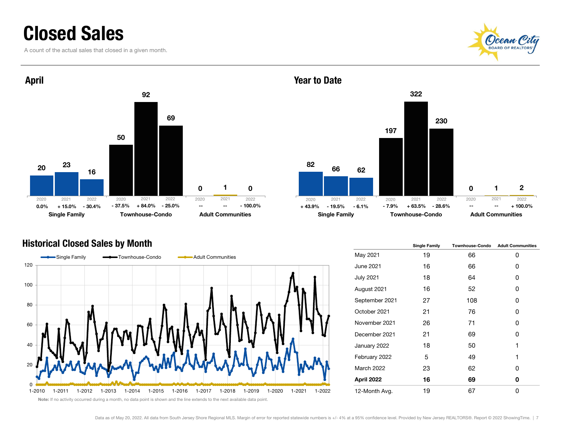### Closed Sales

A count of the actual sales that closed in a given month.





#### Historical Closed Sales by Month



82197 $\Omega$ 663221622302Single Family **Townhouse-Condo** Adult Communities % - 30.4% - 37.5% + 84.0% - 25.0% --- -- - - 100.0% -- + 43.9% - 19.5% - 6.1% - 7.9% + 63.5% - 28.6% --- --- + 100.0% 2021 2022 2020 2021 2022 2020 2021 2022--

|                   | <b>Single Family</b> | <b>Townhouse-Condo</b> | <b>Adult Communities</b> |
|-------------------|----------------------|------------------------|--------------------------|
| May 2021          | 19                   | 66                     | 0                        |
| June 2021         | 16                   | 66                     | 0                        |
| <b>July 2021</b>  | 18                   | 64                     | 0                        |
| August 2021       | 16                   | 52                     | 0                        |
| September 2021    | 27                   | 108                    | 0                        |
| October 2021      | 21                   | 76                     | 0                        |
| November 2021     | 26                   | 71                     | 0                        |
| December 2021     | 21                   | 69                     | 0                        |
| January 2022      | 18                   | 50                     | 1                        |
| February 2022     | 5                    | 49                     | 1                        |
| <b>March 2022</b> | 23                   | 62                     | 0                        |
| April 2022        | 16                   | 69                     | 0                        |
| 12-Month Avg.     | 19                   | 67                     | 0                        |

Note: If no activity occurred during a month, no data point is shown and the line extends to the next available data point.

Year to Date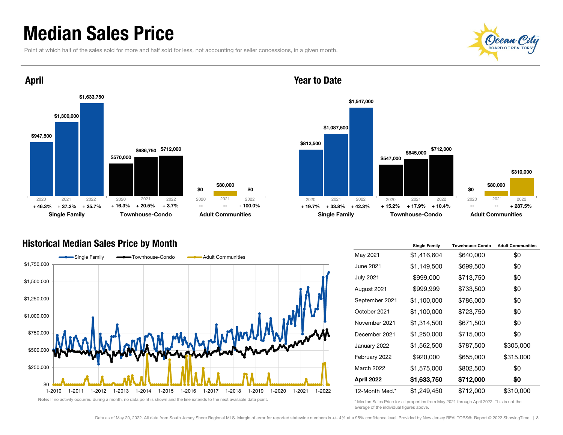### Median Sales Price

Point at which half of the sales sold for more and half sold for less, not accounting for seller concessions, in a given month.





#### Year to Date



#### Historical Median Sales Price by Month



|                   | <b>Single Family</b> | <b>Townhouse-Condo</b> | <b>Adult Communities</b> |
|-------------------|----------------------|------------------------|--------------------------|
| May 2021          | \$1,416,604          | \$640,000              | \$0                      |
| June 2021         | \$1,149,500          | \$699,500              | \$0                      |
| <b>July 2021</b>  | \$999,000            | \$713,750              | \$0                      |
| August 2021       | \$999,999            | \$733,500              | \$0                      |
| September 2021    | \$1,100,000          | \$786,000              | \$0                      |
| October 2021      | \$1,100,000          | \$723,750              | \$0                      |
| November 2021     | \$1,314,500          | \$671,500              | \$0                      |
| December 2021     | \$1,250,000          | \$715,000              | \$0                      |
| January 2022      | \$1,562,500          | \$787,500              | \$305,000                |
| February 2022     | \$920,000            | \$655,000              | \$315,000                |
| <b>March 2022</b> | \$1,575,000          | \$802,500              | \$0                      |
| April 2022        | \$1,633,750          | \$712,000              | \$0                      |
| 12-Month Med.*    | \$1,249,450          | \$712,000              | \$310,000                |

\* Median Sales Price for all properties from May 2021 through April 2022. This is not the average of the individual figures above.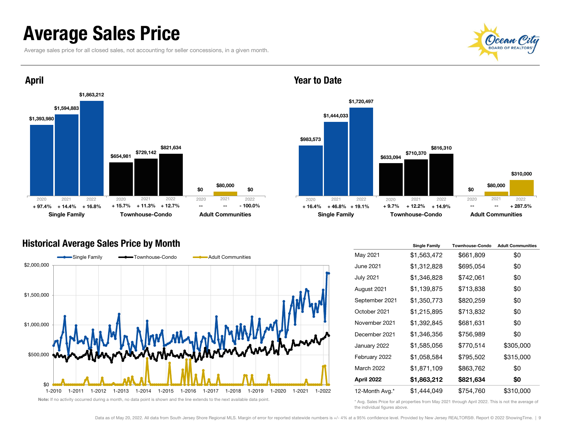### Average Sales Price

Average sales price for all closed sales, not accounting for seller concessions, in a given month.





#### Historical Average Sales Price by Month



Year to Date



|                   | <b>Single Family</b> | <b>Townhouse-Condo</b> | <b>Adult Communities</b> |
|-------------------|----------------------|------------------------|--------------------------|
| May 2021          | \$1,563,472          | \$661,809              | \$0                      |
| June 2021         | \$1,312,828          | \$695,054              | \$0                      |
| <b>July 2021</b>  | \$1,346,828          | \$742,061              | \$0                      |
| August 2021       | \$1,139,875          | \$713,838              | \$0                      |
| September 2021    | \$1,350,773          | \$820,259              | \$0                      |
| October 2021      | \$1,215,895          | \$713,832              | \$0                      |
| November 2021     | \$1,392,845          | \$681,631              | \$0                      |
| December 2021     | \$1,346,356          | \$756,989              | \$0                      |
| January 2022      | \$1,585,056          | \$770,514              | \$305,000                |
| February 2022     | \$1,058,584          | \$795,502              | \$315,000                |
| <b>March 2022</b> | \$1,871,109          | \$863,762              | \$0                      |
| April 2022        | \$1,863,212          | \$821,634              | \$0                      |
| 12-Month Avg.*    | \$1,444,049          | \$754,760              | \$310,000                |

\* Avg. Sales Price for all properties from May 2021 through April 2022. This is not the average of the individual figures above.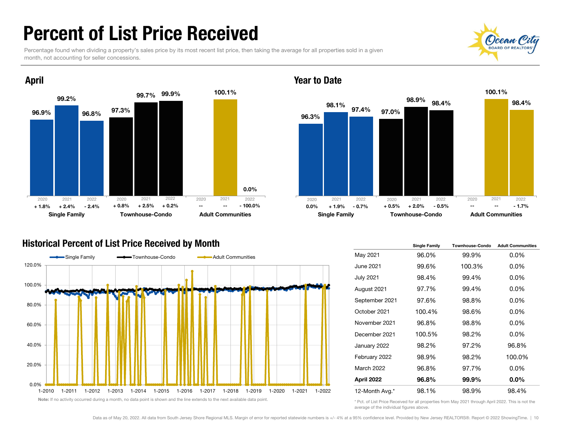### Percent of List Price Received

Percentage found when dividing a property's sales price by its most recent list price, then taking the average for all properties sold in a given month, not accounting for seller concessions.



#### Historical Percent of List Price Received by Month





#### Year to Date

|                   | <b>Single Family</b> | <b>Townhouse-Condo</b> | <b>Adult Communities</b> |
|-------------------|----------------------|------------------------|--------------------------|
| May 2021          | 96.0%                | 99.9%                  | $0.0\%$                  |
| June 2021         | 99.6%                | 100.3%                 | $0.0\%$                  |
| <b>July 2021</b>  | 98.4%                | 99.4%                  | $0.0\%$                  |
| August 2021       | 97.7%                | 99.4%                  | $0.0\%$                  |
| September 2021    | 97.6%                | 98.8%                  | $0.0\%$                  |
| October 2021      | 100.4%               | 98.6%                  | $0.0\%$                  |
| November 2021     | 96.8%                | 98.8%                  | $0.0\%$                  |
| December 2021     | 100.5%               | 98.2%                  | $0.0\%$                  |
| January 2022      | 98.2%                | 97.2%                  | 96.8%                    |
| February 2022     | 98.9%                | 98.2%                  | 100.0%                   |
| <b>March 2022</b> | 96.8%                | 97.7%                  | $0.0\%$                  |
| April 2022        | 96.8%                | 99.9%                  | $0.0\%$                  |
| 12-Month Avg.*    | 98.1%                | 98.9%                  | 98.4%                    |

\* Pct. of List Price Received for all properties from May 2021 through April 2022. This is not the average of the individual figures above.

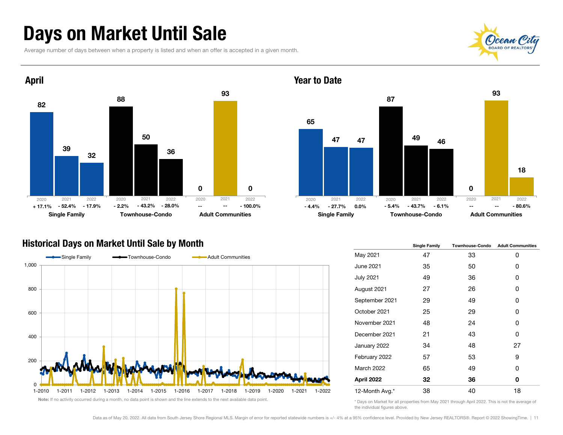### Days on Market Until Sale

Average number of days between when a property is listed and when an offer is accepted in a given month.





Year to Date



#### Historical Days on Market Until Sale by Month



|                   | <b>Single Family</b> | <b>Townhouse-Condo</b> | <b>Adult Communities</b> |  |  |
|-------------------|----------------------|------------------------|--------------------------|--|--|
| May 2021          | 47                   | 33                     | 0                        |  |  |
| <b>June 2021</b>  | 35                   | 50                     | 0                        |  |  |
| <b>July 2021</b>  | 49                   | 36                     | 0                        |  |  |
| August 2021       | 27                   | 26                     | 0                        |  |  |
| September 2021    | 29                   | 49                     | 0                        |  |  |
| October 2021      | 25                   | 29                     | 0                        |  |  |
| November 2021     | 48                   | 24                     | 0                        |  |  |
| December 2021     | 21                   | 43                     | 0                        |  |  |
| January 2022      | 34                   | 48                     | 27                       |  |  |
| February 2022     | 57                   | 53                     | 9                        |  |  |
| <b>March 2022</b> | 65                   | 49                     | 0                        |  |  |
| April 2022        | 32                   | 36                     | 0                        |  |  |
| 12-Month Avg.*    | 38                   | 40                     | 18                       |  |  |

\* Days on Market for all properties from May 2021 through April 2022. This is not the average of the individual figures above.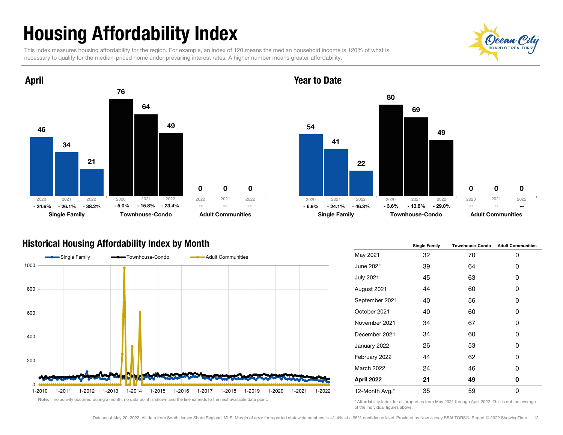## Housing Affordability Index

This index measures housing affordability for the region. For example, an index of 120 means the median household income is 120% of what is necessary to qualify for the median-priced home under prevailing interest rates. A higher number means greater affordability.





#### Year to Date



#### Historical Housing Affordability Index by Month



|                   | <b>Single Family</b> | <b>Townhouse-Condo</b> | <b>Adult Communities</b> |  |  |
|-------------------|----------------------|------------------------|--------------------------|--|--|
| May 2021          | 32                   | 70                     | 0                        |  |  |
| June 2021         | 39                   | 64                     | 0                        |  |  |
| <b>July 2021</b>  | 45                   | 63                     | 0                        |  |  |
| August 2021       | 44                   | 60                     | 0                        |  |  |
| September 2021    | 40                   | 56                     | 0                        |  |  |
| October 2021      | 40                   | 60                     | 0                        |  |  |
| November 2021     | 34                   | 67                     | 0                        |  |  |
| December 2021     | 34                   | 60                     | 0                        |  |  |
| January 2022      | 26                   | 53                     | 0                        |  |  |
| February 2022     | 44                   | 62                     | 0                        |  |  |
| <b>March 2022</b> | 24                   | 46                     | 0                        |  |  |
| April 2022        | 21                   | 49                     | 0                        |  |  |
| 12-Month Avg.*    | 35                   | 59                     | 0                        |  |  |

\* Affordability Index for all properties from May 2021 through April 2022. This is not the average of the individual figures above.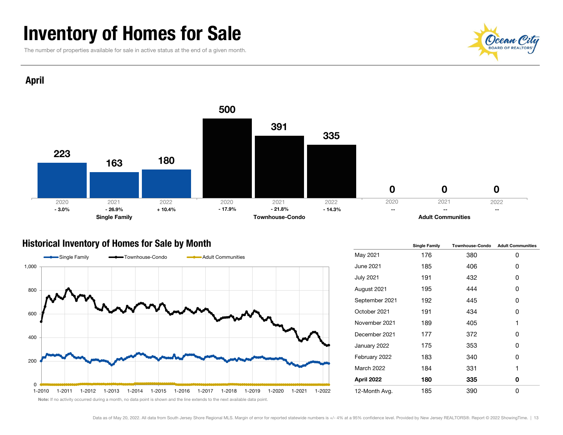### Inventory of Homes for Sale

The number of properties available for sale in active status at the end of a given month.



April



#### Historical Inventory of Homes for Sale by Month



|                   | <b>Single Family</b> | <b>Townhouse-Condo</b> | <b>Adult Communities</b> |  |  |
|-------------------|----------------------|------------------------|--------------------------|--|--|
| May 2021          | 176                  | 380                    | 0                        |  |  |
| June 2021         | 185                  | 406                    | 0                        |  |  |
| July 2021         | 191                  | 432                    | 0                        |  |  |
| August 2021       | 195                  | 444                    | 0                        |  |  |
| September 2021    | 192                  | 445                    | 0                        |  |  |
| October 2021      | 191                  | 434                    | 0                        |  |  |
| November 2021     | 189                  | 405                    | 1                        |  |  |
| December 2021     | 177                  | 372                    | 0                        |  |  |
| January 2022      | 175                  | 353                    | 0                        |  |  |
| February 2022     | 183                  | 340                    | 0                        |  |  |
| <b>March 2022</b> | 184                  | 331                    | 1                        |  |  |
| April 2022        | 180                  | 335                    | 0                        |  |  |
| 12-Month Avg.     | 185                  | 390                    | 0                        |  |  |

Note: If no activity occurred during a month, no data point is shown and the line extends to the next available data point.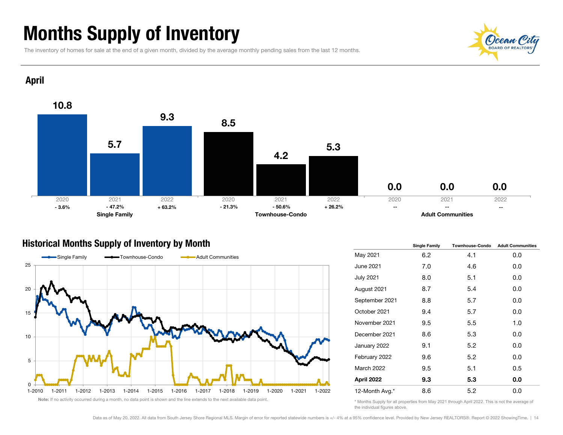### Months Supply of Inventory

The inventory of homes for sale at the end of a given month, divided by the average monthly pending sales from the last 12 months.



April



#### Historical Months Supply of Inventory by Month



|                   | <b>Single Family</b> | <b>Townhouse-Condo</b> | <b>Adult Communities</b> |  |  |
|-------------------|----------------------|------------------------|--------------------------|--|--|
| May 2021          | 6.2                  | 4.1                    | 0.0                      |  |  |
| June 2021         | 7.0                  | 4.6                    | 0.0                      |  |  |
| <b>July 2021</b>  | 8.0                  | 5.1                    | 0.0                      |  |  |
| August 2021       | 8.7                  | 5.4                    | 0.0                      |  |  |
| September 2021    | 8.8                  | 5.7                    | 0.0                      |  |  |
| October 2021      | 9.4                  | 5.7                    | 0.0                      |  |  |
| November 2021     | 9.5                  | 5.5                    | 1.0                      |  |  |
| December 2021     | 8.6                  | 5.3                    | 0.0                      |  |  |
| January 2022      | 9.1                  | 5.2                    | 0.0                      |  |  |
| February 2022     | 9.6                  | 5.2                    | 0.0                      |  |  |
| <b>March 2022</b> | 9.5                  | 5.1<br>0.5             |                          |  |  |
| April 2022        | 9.3                  | 5.3                    | 0.0                      |  |  |
| 12-Month Avg.*    | 8.6                  | 5.2                    | 0.0                      |  |  |

\* Months Supply for all properties from May 2021 through April 2022. This is not the average of the individual figures above.